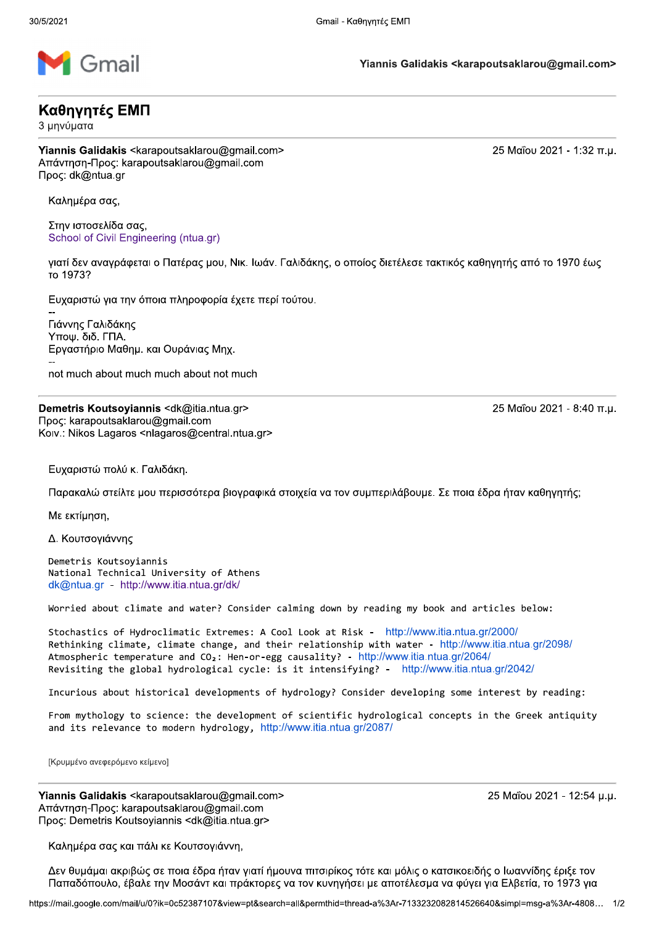

## Καθηγητές ΕΜΠ

3 μηνύματα

Yiannis Galidakis <karapoutsaklarou@gmail.com> Απάντηση-Προς: karapoutsaklarou@gmail.com Προς: dk@ntua.gr

Καλημέρα σας,

Στην ιστοσελίδα σας, School of Civil Engineering (ntua.gr)

γιατί δεν αναγράφεται ο Πατέρας μου, Νικ. Ιωάν. Γαλιδάκης, ο οποίος διετέλεσε τακτικός καθηγητής από το 1970 έως то 1973?

Ευχαριστώ για την όποια πληροφορία έχετε περί τούτου.

Γιάννης Γαλιδάκης Υποψ. διδ. ΓΠΑ. Εργαστήριο Μαθημ. και Ουράνιας Μηχ. not much about much much about not much

Demetris Koutsoyiannis <dk@itia.ntua.gr> Προς: karapoutsaklarou@gmail.com Koiv.: Nikos Lagaros <nlagaros@central.ntua.gr>

Ευχαριστώ πολύ κ. Γαλιδάκη.

Παρακαλώ στείλτε μου περισσότερα βιογραφικά στοιχεία να τον συμπεριλάβουμε. Σε ποια έδρα ήταν καθηγητής;

Με εκτίμηση.

Δ. Κουτσογιάννης

Demetris Koutsoviannis National Technical University of Athens dk@ntua.gr - http://www.itia.ntua.gr/dk/

Worried about climate and water? Consider calming down by reading my book and articles below:

Stochastics of Hydroclimatic Extremes: A Cool Look at Risk - http://www.itia.ntua.gr/2000/ Rethinking climate, climate change, and their relationship with water - http://www.itia.ntua.gr/2098/ Atmospheric temperature and  $CO<sub>2</sub>$ : Hen-or-egg causality? - http://www.itia.ntua.gr/2064/ Revisiting the global hydrological cycle: is it intensifying? - http://www.itia.ntua.gr/2042/

Incurious about historical developments of hydrology? Consider developing some interest by reading:

From mythology to science: the development of scientific hydrological concepts in the Greek antiquity and its relevance to modern hydrology, http://www.itia.ntua.gr/2087/

[Κρυμμένο ανεφερόμενο κείμενο]

Yiannis Galidakis <karapoutsaklarou@gmail.com> Aπάντηση-Προς: karapoutsaklarou@gmail.com Προς: Demetris Koutsoyiannis <dk@itia.ntua.gr>

25 Μαΐου 2021 - 12:54 μ.μ.

Καλημέρα σας και πάλι κε Κουτσογιάννη,

Δεν θυμάμαι ακριβώς σε ποια έδρα ήταν γιατί ήμουνα πιτσιρίκος τότε και μόλις ο κατσικοειδής ο Ιωαννίδης έριξε τον Παπαδόπουλο, έβαλε την Μοσάντ και πράκτορες να τον κυνηγήσει με αποτέλεσμα να φύγει για Ελβετία, το 1973 για

25 Μαΐου 2021 - 1:32 π.μ.

25 Μαΐου 2021 - 8:40 π.μ.